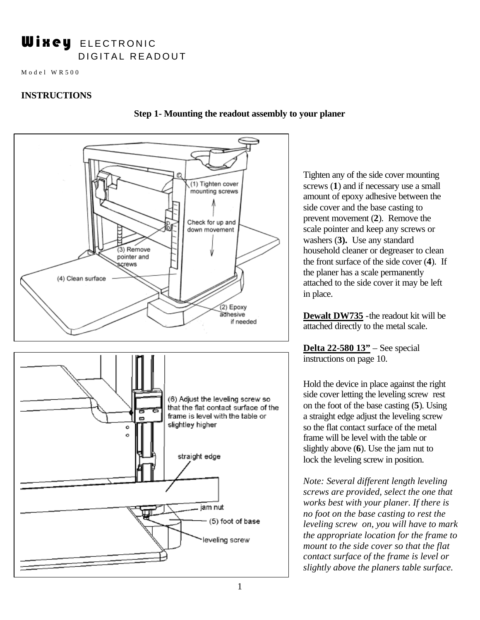# Wixey ELECTRONIC DIGITAL READOUT

Model WR500

## **INSTRUCTIONS**



#### **Step 1- Mounting the readout assembly to your planer**

Tighten any of the side cover mounting screws (**1**) and if necessary use a small amount of epoxy adhesive between the side cover and the base casting to prevent movement (**2**). Remove the scale pointer and keep any screws or washers (**3).** Use any standard household cleaner or degreaser to clean the front surface of the side cover (**4**). If the planer has a scale permanently attached to the side cover it may be left in place.

**Dewalt DW735** -the readout kit will be attached directly to the metal scale.

**Delta 22-580 13"** – See special instructions on page 10.

Hold the device in place against the right side cover letting the leveling screw rest on the foot of the base casting (**5**). Using a straight edge adjust the leveling screw so the flat contact surface of the metal frame will be level with the table or slightly above (**6**). Use the jam nut to lock the leveling screw in position.

*Note: Several different length leveling screws are provided, select the one that works best with your planer. If there is no foot on the base casting to rest the leveling screw on, you will have to mark the appropriate location for the frame to mount to the side cover so that the flat contact surface of the frame is level or slightly above the planers table surface.*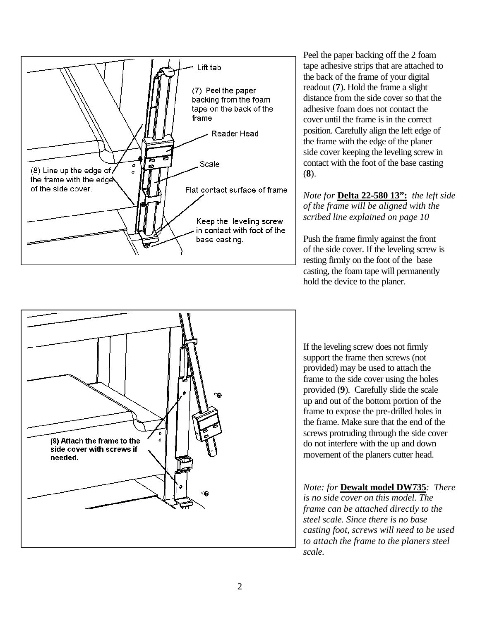

Peel the paper backing off the 2 foam tape adhesive strips that are attached to the back of the frame of your digital readout (**7**). Hold the frame a slight distance from the side cover so that the adhesive foam does not contact the cover until the frame is in the correct position. Carefully align the left edge of the frame with the edge of the planer side cover keeping the leveling screw in contact with the foot of the base casting (**8**).

*Note for* **Delta 22-580 13":** *the left side of the frame will be aligned with the scribed line explained on page 10*

Push the frame firmly against the front of the side cover. If the leveling screw is resting firmly on the foot of the base casting, the foam tape will permanently hold the device to the planer.



If the leveling screw does not firmly support the frame then screws (not provided) may be used to attach the frame to the side cover using the holes provided (**9**). Carefully slide the scale up and out of the bottom portion of the frame to expose the pre-drilled holes in the frame. Make sure that the end of the screws protruding through the side cover do not interfere with the up and down movement of the planers cutter head.

*Note: for* **Dewalt model DW735***: There is no side cover on this model. The frame can be attached directly to the steel scale. Since there is no base casting foot, screws will need to be used to attach the frame to the planers steel scale.*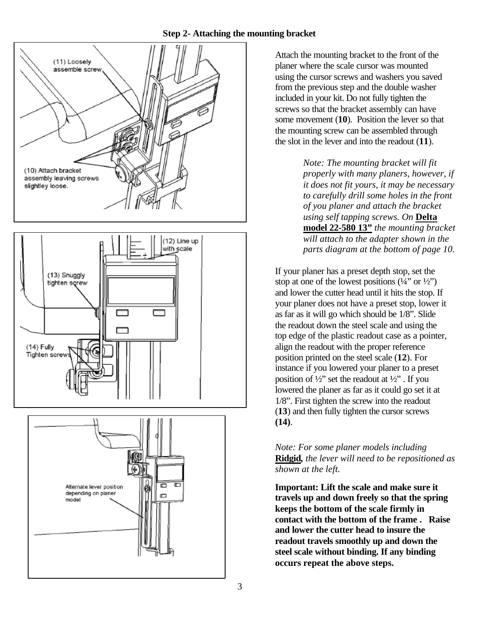## **Step 2- Attaching the mounting bracket**







Attach the mounting bracket to the front of the planer where the scale cursor was mounted using the cursor screws and washers you saved from the previous step and the double washer included in your kit. Do not fully tighten the screws so that the bracket assembly can have some movement (**10**). Position the lever so that the mounting screw can be assembled through the slot in the lever and into the readout (**11**).

> *Note: The mounting bracket will fit properly with many planers, however, if it does not fit yours, it may be necessary to carefully drill some holes in the front of you planer and attach the bracket using self tapping screws. On* **Delta model 22-580 13"** *the mounting bracket will attach to the adapter shown in the parts diagram at the bottom of page 10.*

If your planer has a preset depth stop, set the stop at one of the lowest positions  $(1/4$ " or  $1/2$ ") and lower the cutter head until it hits the stop. If your planer does not have a preset stop, lower it as far as it will go which should be 1/8". Slide the readout down the steel scale and using the top edge of the plastic readout case as a pointer, align the readout with the proper reference position printed on the steel scale (**12**). For instance if you lowered your planer to a preset position of  $\frac{1}{2}$ " set the readout at  $\frac{1}{2}$ ". If you lowered the planer as far as it could go set it at 1/8". First tighten the screw into the readout (**13**) and then fully tighten the cursor screws **(14)**.

# *Note: For some planer models including*  **Ridgid***, the lever will need to be repositioned as shown at the left.*

**Important: Lift the scale and make sure it travels up and down freely so that the spring keeps the bottom of the scale firmly in contact with the bottom of the frame . Raise and lower the cutter head to insure the readout travels smoothly up and down the steel scale without binding. If any binding occurs repeat the above steps.**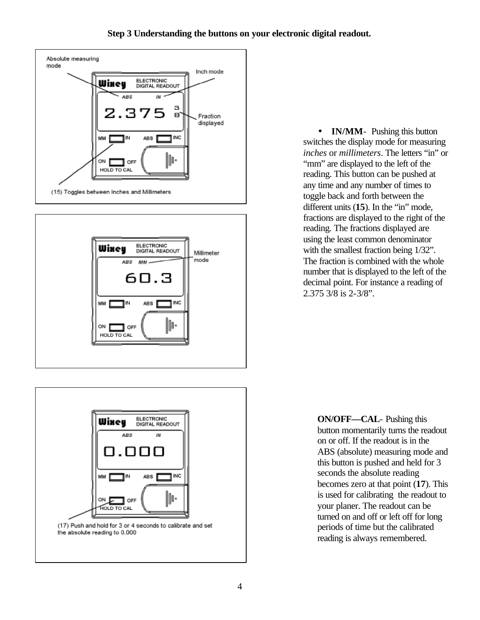



• **IN/MM**- Pushing this button switches the display mode for measuring *inches* or *millimeters*. The letters "in" or "mm" are displayed to the left of the reading. This button can be pushed at any time and any number of times to toggle back and forth between the different units (**15**). In the "in" mode, fractions are displayed to the right of the reading. The fractions displayed are using the least common denominator with the smallest fraction being 1/32". The fraction is combined with the whole number that is displayed to the left of the decimal point. For instance a reading of 2.375 3/8 is 2-3/8".



**ON/OFF—CAL**- Pushing this button momentarily turns the readout on or off. If the readout is in the ABS (absolute) measuring mode and this button is pushed and held for 3 seconds the absolute reading becomes zero at that point (**17**). This is used for calibrating the readout to your planer. The readout can be turned on and off or left off for long periods of time but the calibrated reading is always remembered.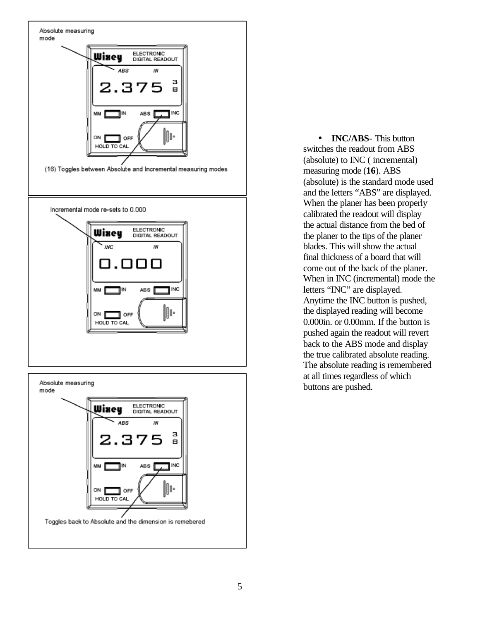

mode ELECTRONIC Wixey DIGITAL READOUT ABS IN з 8 INC ABS<sup>T</sup> MM IN. III: ON **D** OFF HOLD TO CAL Toggles back to Absolute and the dimension is remebered

• **INC/ABS**- This button switches the readout from ABS (absolute) to INC ( incremental) measuring mode (**16**). ABS (absolute) is the standard mode used and the letters "ABS" are displayed. When the planer has been properly calibrated the readout will display the actual distance from the bed of the planer to the tips of the planer blades. This will show the actual final thickness of a board that will come out of the back of the planer. When in INC (incremental) mode the letters "INC" are displayed. Anytime the INC button is pushed, the displayed reading will become 0.000in. or 0.00mm. If the button is pushed again the readout will revert back to the ABS mode and display the true calibrated absolute reading. The absolute reading is remembered at all times regardless of which buttons are pushed.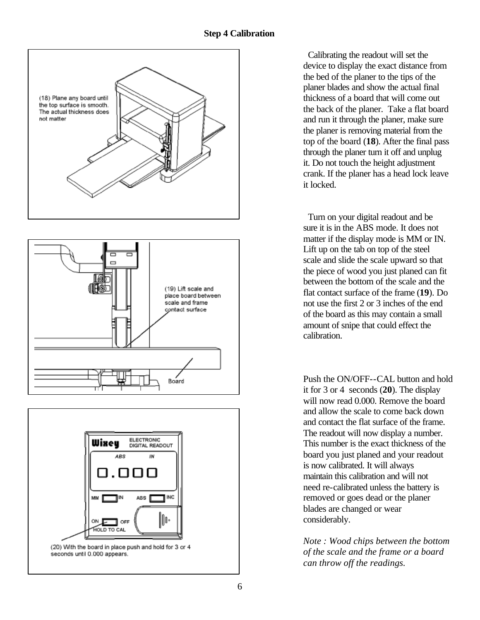





 Calibrating the readout will set the device to display the exact distance from the bed of the planer to the tips of the planer blades and show the actual final thickness of a board that will come out the back of the planer. Take a flat board and run it through the planer, make sure the planer is removing material from the top of the board (**18**). After the final pass through the planer turn it off and unplug it. Do not touch the height adjustment crank. If the planer has a head lock leave it locked.

 Turn on your digital readout and be sure it is in the ABS mode. It does not matter if the display mode is MM or IN. Lift up on the tab on top of the steel scale and slide the scale upward so that the piece of wood you just planed can fit between the bottom of the scale and the flat contact surface of the frame (**19**). Do not use the first 2 or 3 inches of the end of the board as this may contain a small amount of snipe that could effect the calibration.

Push the ON/OFF--CAL button and hold it for 3 or 4 seconds (**20**). The display will now read 0.000. Remove the board and allow the scale to come back down and contact the flat surface of the frame. The readout will now display a number. This number is the exact thickness of the board you just planed and your readout is now calibrated. It will always maintain this calibration and will not need re-calibrated unless the battery is removed or goes dead or the planer blades are changed or wear considerably.

*Note : Wood chips between the bottom of the scale and the frame or a board can throw off the readings.*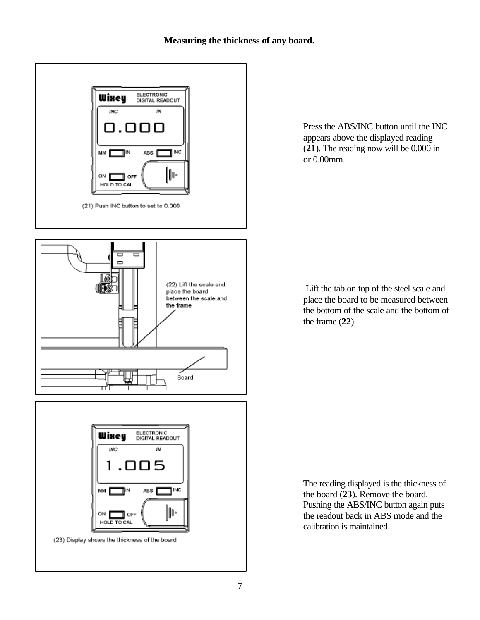### **Measuring the thickness of any board.**



Press the ABS/INC button until the INC appears above the displayed reading (**21**). The reading now will be 0.000 in or 0.00mm.

 Lift the tab on top of the steel scale and place the board to be measured between the bottom of the scale and the bottom of the frame (**22**).

The reading displayed is the thickness of the board (**23**). Remove the board. Pushing the ABS/INC button again puts the readout back in ABS mode and the calibration is maintained.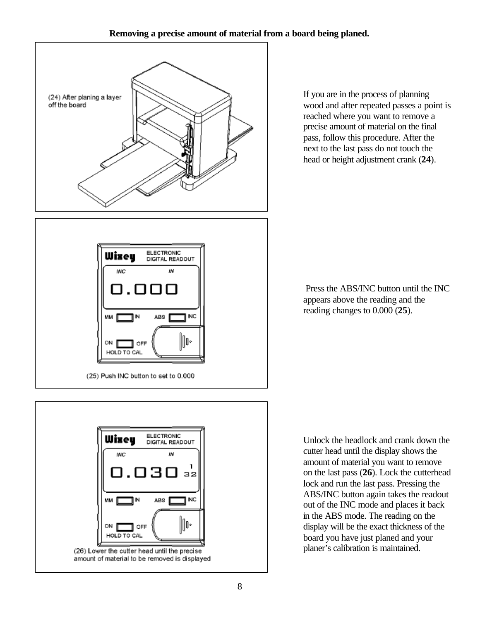### **Removing a precise amount of material from a board being planed.**



If you are in the process of planning wood and after repeated passes a point is reached where you want to remove a precise amount of material on the final pass, follow this procedure. After the next to the last pass do not touch the head or height adjustment crank (**24**).





 Press the ABS/INC button until the INC appears above the reading and the reading changes to 0.000 (**25**).

Unlock the headlock and crank down the cutter head until the display shows the amount of material you want to remove on the last pass (**26**). Lock the cutterhead lock and run the last pass. Pressing the ABS/INC button again takes the readout out of the INC mode and places it back in the ABS mode. The reading on the display will be the exact thickness of the board you have just planed and your planer's calibration is maintained.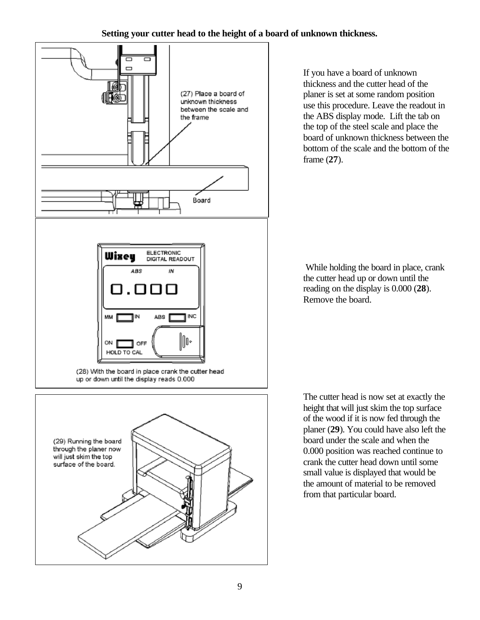## **Setting your cutter head to the height of a board of unknown thickness.**



If you have a board of unknown thickness and the cutter head of the planer is set at some random position use this procedure. Leave the readout in the ABS display mode. Lift the tab on the top of the steel scale and place the board of unknown thickness between the bottom of the scale and the bottom of the frame (**27**).

 While holding the board in place, crank the cutter head up or down until the reading on the display is 0.000 (**28**). Remove the board.

The cutter head is now set at exactly the height that will just skim the top surface of the wood if it is now fed through the planer (**29**). You could have also left the board under the scale and when the 0.000 position was reached continue to crank the cutter head down until some small value is displayed that would be the amount of material to be removed from that particular board.